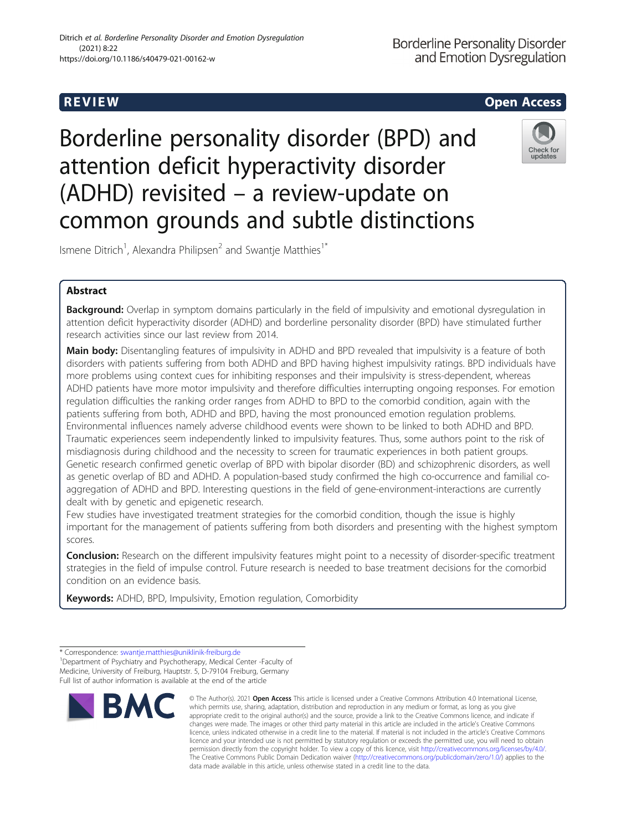# R EVI EW Open Access

# Borderline personality disorder (BPD) and attention deficit hyperactivity disorder (ADHD) revisited – a review-update on common grounds and subtle distinctions



Ismene Ditrich<sup>1</sup>, Alexandra Philipsen<sup>2</sup> and Swantje Matthies<sup>1\*</sup>

## Abstract

Background: Overlap in symptom domains particularly in the field of impulsivity and emotional dysregulation in attention deficit hyperactivity disorder (ADHD) and borderline personality disorder (BPD) have stimulated further research activities since our last review from 2014.

Main body: Disentangling features of impulsivity in ADHD and BPD revealed that impulsivity is a feature of both disorders with patients suffering from both ADHD and BPD having highest impulsivity ratings. BPD individuals have more problems using context cues for inhibiting responses and their impulsivity is stress-dependent, whereas ADHD patients have more motor impulsivity and therefore difficulties interrupting ongoing responses. For emotion regulation difficulties the ranking order ranges from ADHD to BPD to the comorbid condition, again with the patients suffering from both, ADHD and BPD, having the most pronounced emotion regulation problems. Environmental influences namely adverse childhood events were shown to be linked to both ADHD and BPD. Traumatic experiences seem independently linked to impulsivity features. Thus, some authors point to the risk of misdiagnosis during childhood and the necessity to screen for traumatic experiences in both patient groups. Genetic research confirmed genetic overlap of BPD with bipolar disorder (BD) and schizophrenic disorders, as well as genetic overlap of BD and ADHD. A population-based study confirmed the high co-occurrence and familial coaggregation of ADHD and BPD. Interesting questions in the field of gene-environment-interactions are currently dealt with by genetic and epigenetic research.

Few studies have investigated treatment strategies for the comorbid condition, though the issue is highly important for the management of patients suffering from both disorders and presenting with the highest symptom scores.

Conclusion: Research on the different impulsivity features might point to a necessity of disorder-specific treatment strategies in the field of impulse control. Future research is needed to base treatment decisions for the comorbid condition on an evidence basis.

Keywords: ADHD, BPD, Impulsivity, Emotion regulation, Comorbidity

<sup>\*</sup> Correspondence: [swantje.matthies@uniklinik-freiburg.de](mailto:swantje.matthies@uniklinik-freiburg.de) <sup>1</sup> <sup>1</sup>Department of Psychiatry and Psychotherapy, Medical Center -Faculty of Medicine, University of Freiburg, Hauptstr. 5, D-79104 Freiburg, Germany Full list of author information is available at the end of the article



<sup>©</sup> The Author(s), 2021 **Open Access** This article is licensed under a Creative Commons Attribution 4.0 International License, which permits use, sharing, adaptation, distribution and reproduction in any medium or format, as long as you give appropriate credit to the original author(s) and the source, provide a link to the Creative Commons licence, and indicate if changes were made. The images or other third party material in this article are included in the article's Creative Commons licence, unless indicated otherwise in a credit line to the material. If material is not included in the article's Creative Commons licence and your intended use is not permitted by statutory regulation or exceeds the permitted use, you will need to obtain permission directly from the copyright holder. To view a copy of this licence, visit [http://creativecommons.org/licenses/by/4.0/.](http://creativecommons.org/licenses/by/4.0/) The Creative Commons Public Domain Dedication waiver [\(http://creativecommons.org/publicdomain/zero/1.0/](http://creativecommons.org/publicdomain/zero/1.0/)) applies to the data made available in this article, unless otherwise stated in a credit line to the data.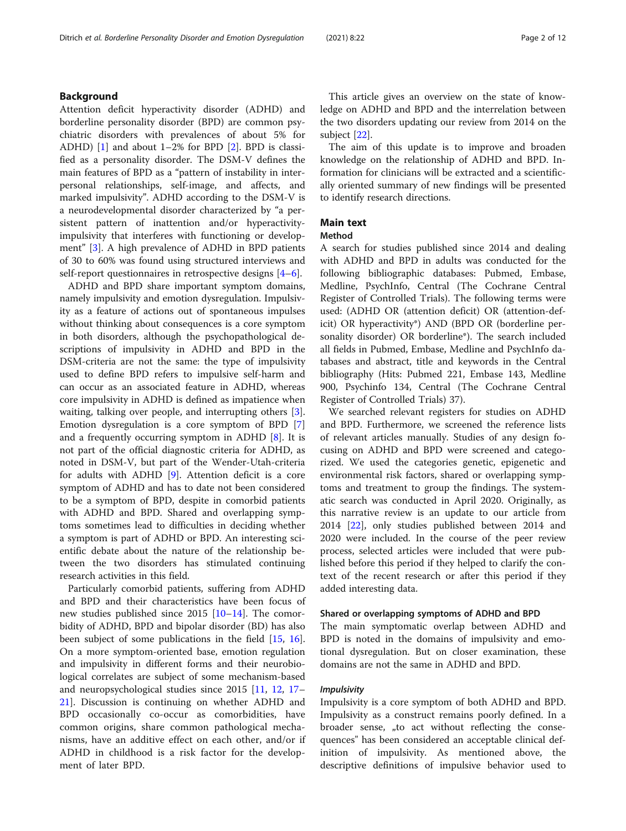#### Background

Attention deficit hyperactivity disorder (ADHD) and borderline personality disorder (BPD) are common psychiatric disorders with prevalences of about 5% for ADHD) [[1](#page-10-0)] and about 1–2% for BPD [[2](#page-10-0)]. BPD is classified as a personality disorder. The DSM-V defines the main features of BPD as a "pattern of instability in interpersonal relationships, self-image, and affects, and marked impulsivity". ADHD according to the DSM-V is a neurodevelopmental disorder characterized by "a persistent pattern of inattention and/or hyperactivityimpulsivity that interferes with functioning or development" [\[3](#page-10-0)]. A high prevalence of ADHD in BPD patients of 30 to 60% was found using structured interviews and self-report questionnaires in retrospective designs [[4](#page-10-0)–[6](#page-10-0)].

ADHD and BPD share important symptom domains, namely impulsivity and emotion dysregulation. Impulsivity as a feature of actions out of spontaneous impulses without thinking about consequences is a core symptom in both disorders, although the psychopathological descriptions of impulsivity in ADHD and BPD in the DSM-criteria are not the same: the type of impulsivity used to define BPD refers to impulsive self-harm and can occur as an associated feature in ADHD, whereas core impulsivity in ADHD is defined as impatience when waiting, talking over people, and interrupting others [\[3](#page-10-0)]. Emotion dysregulation is a core symptom of BPD [\[7](#page-10-0)] and a frequently occurring symptom in ADHD [\[8](#page-10-0)]. It is not part of the official diagnostic criteria for ADHD, as noted in DSM-V, but part of the Wender-Utah-criteria for adults with ADHD [[9](#page-10-0)]. Attention deficit is a core symptom of ADHD and has to date not been considered to be a symptom of BPD, despite in comorbid patients with ADHD and BPD. Shared and overlapping symptoms sometimes lead to difficulties in deciding whether a symptom is part of ADHD or BPD. An interesting scientific debate about the nature of the relationship between the two disorders has stimulated continuing research activities in this field.

Particularly comorbid patients, suffering from ADHD and BPD and their characteristics have been focus of new studies published since 2015 [\[10](#page-10-0)–[14\]](#page-10-0). The comorbidity of ADHD, BPD and bipolar disorder (BD) has also been subject of some publications in the field [\[15](#page-10-0), [16](#page-10-0)]. On a more symptom-oriented base, emotion regulation and impulsivity in different forms and their neurobiological correlates are subject of some mechanism-based and neuropsychological studies since 2015 [[11](#page-10-0), [12](#page-10-0), [17](#page-10-0)– [21\]](#page-10-0). Discussion is continuing on whether ADHD and BPD occasionally co-occur as comorbidities, have common origins, share common pathological mechanisms, have an additive effect on each other, and/or if ADHD in childhood is a risk factor for the development of later BPD.

This article gives an overview on the state of knowledge on ADHD and BPD and the interrelation between the two disorders updating our review from 2014 on the subject [\[22](#page-10-0)].

The aim of this update is to improve and broaden knowledge on the relationship of ADHD and BPD. Information for clinicians will be extracted and a scientifically oriented summary of new findings will be presented to identify research directions.

### Main text

#### Method

A search for studies published since 2014 and dealing with ADHD and BPD in adults was conducted for the following bibliographic databases: Pubmed, Embase, Medline, PsychInfo, Central (The Cochrane Central Register of Controlled Trials). The following terms were used: (ADHD OR (attention deficit) OR (attention-deficit) OR hyperactivity\*) AND (BPD OR (borderline personality disorder) OR borderline\*). The search included all fields in Pubmed, Embase, Medline and PsychInfo databases and abstract, title and keywords in the Central bibliography (Hits: Pubmed 221, Embase 143, Medline 900, Psychinfo 134, Central (The Cochrane Central Register of Controlled Trials) 37).

We searched relevant registers for studies on ADHD and BPD. Furthermore, we screened the reference lists of relevant articles manually. Studies of any design focusing on ADHD and BPD were screened and categorized. We used the categories genetic, epigenetic and environmental risk factors, shared or overlapping symptoms and treatment to group the findings. The systematic search was conducted in April 2020. Originally, as this narrative review is an update to our article from 2014 [[22](#page-10-0)], only studies published between 2014 and 2020 were included. In the course of the peer review process, selected articles were included that were published before this period if they helped to clarify the context of the recent research or after this period if they added interesting data.

#### Shared or overlapping symptoms of ADHD and BPD

The main symptomatic overlap between ADHD and BPD is noted in the domains of impulsivity and emotional dysregulation. But on closer examination, these domains are not the same in ADHD and BPD.

#### Impulsivity

Impulsivity is a core symptom of both ADHD and BPD. Impulsivity as a construct remains poorly defined. In a broader sense, "to act without reflecting the consequences" has been considered an acceptable clinical definition of impulsivity. As mentioned above, the descriptive definitions of impulsive behavior used to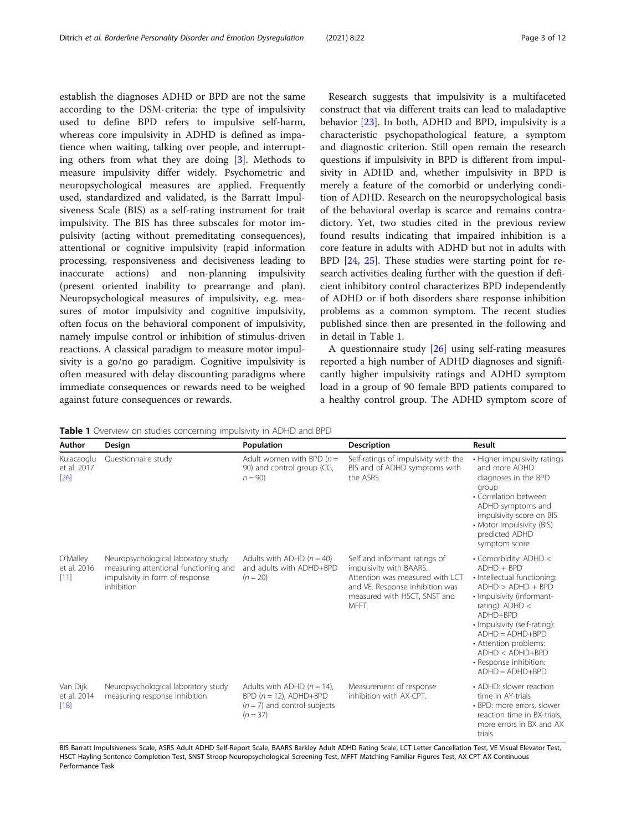<span id="page-2-0"></span>establish the diagnoses ADHD or BPD are not the same according to the DSM-criteria: the type of impulsivity used to define BPD refers to impulsive self-harm, whereas core impulsivity in ADHD is defined as impatience when waiting, talking over people, and interrupting others from what they are doing [[3\]](#page-10-0). Methods to measure impulsivity differ widely. Psychometric and neuropsychological measures are applied. Frequently used, standardized and validated, is the Barratt Impulsiveness Scale (BIS) as a self-rating instrument for trait impulsivity. The BIS has three subscales for motor impulsivity (acting without premeditating consequences), attentional or cognitive impulsivity (rapid information processing, responsiveness and decisiveness leading to inaccurate actions) and non-planning impulsivity (present oriented inability to prearrange and plan). Neuropsychological measures of impulsivity, e.g. measures of motor impulsivity and cognitive impulsivity, often focus on the behavioral component of impulsivity, namely impulse control or inhibition of stimulus-driven reactions. A classical paradigm to measure motor impulsivity is a go/no go paradigm. Cognitive impulsivity is often measured with delay discounting paradigms where immediate consequences or rewards need to be weighed against future consequences or rewards.

Research suggests that impulsivity is a multifaceted construct that via different traits can lead to maladaptive behavior [\[23](#page-10-0)]. In both, ADHD and BPD, impulsivity is a characteristic psychopathological feature, a symptom and diagnostic criterion. Still open remain the research questions if impulsivity in BPD is different from impulsivity in ADHD and, whether impulsivity in BPD is merely a feature of the comorbid or underlying condition of ADHD. Research on the neuropsychological basis of the behavioral overlap is scarce and remains contradictory. Yet, two studies cited in the previous review found results indicating that impaired inhibition is a core feature in adults with ADHD but not in adults with BPD [[24](#page-10-0), [25](#page-11-0)]. These studies were starting point for research activities dealing further with the question if deficient inhibitory control characterizes BPD independently of ADHD or if both disorders share response inhibition problems as a common symptom. The recent studies published since then are presented in the following and in detail in Table 1.

A questionnaire study [\[26](#page-11-0)] using self-rating measures reported a high number of ADHD diagnoses and significantly higher impulsivity ratings and ADHD symptom load in a group of 90 female BPD patients compared to a healthy control group. The ADHD symptom score of

**Table 1** Overview on studies concerning impulsivity in ADHD and BPD

| Author                            | Design                                                                                                                        | Population                                                                                                | <b>Description</b>                                                                                                                                                      | Result                                                                                                                                                                                                                                                                                                        |
|-----------------------------------|-------------------------------------------------------------------------------------------------------------------------------|-----------------------------------------------------------------------------------------------------------|-------------------------------------------------------------------------------------------------------------------------------------------------------------------------|---------------------------------------------------------------------------------------------------------------------------------------------------------------------------------------------------------------------------------------------------------------------------------------------------------------|
| Kulacaoglu<br>et al. 2017<br>[26] | Questionnaire study                                                                                                           | Adult women with BPD $(n=$<br>90) and control group (CG,<br>$n = 90$                                      | Self-ratings of impulsivity with the<br>BIS and of ADHD symptoms with<br>the ASRS.                                                                                      | • Higher impulsivity ratings<br>and more ADHD<br>diagnoses in the BPD<br>group<br>• Correlation between<br>ADHD symptoms and<br>impulsivity score on BIS<br>• Motor impulsivity (BIS)<br>predicted ADHD<br>symptom score                                                                                      |
| O'Malley<br>et al. 2016<br>[11]   | Neuropsychological laboratory study<br>measuring attentional functioning and<br>impulsivity in form of response<br>inhibition | Adults with ADHD $(n = 40)$<br>and adults with ADHD+BPD<br>$(n = 20)$                                     | Self and informant ratings of<br>impulsivity with BAARS.<br>Attention was measured with LCT<br>and VE. Response inhibition was<br>measured with HSCT, SNST and<br>MFFT. | • Comorbidity: ADHD <<br>$ADHD + BPD$<br>· Intellectual functioning:<br>$ADHD > ADHD + BPD$<br>· Impulsivity (informant-<br>rating): $ADHD <$<br>ADHD+BPD<br>· Impulsivity (self-rating):<br>$ADHD = ADHD + BPD$<br>• Attention problems:<br>ADHD < ADHD+BPD<br>• Response inhibition:<br>$ADHD = ADHD + BPD$ |
| Van Dijk<br>et al. 2014<br>[18]   | Neuropsychological laboratory study<br>measuring response inhibition                                                          | Adults with ADHD $(n = 14)$ ,<br>$BPD(n = 12)$ , ADHD+BPD<br>$(n = 7)$ and control subjects<br>$(n = 37)$ | Measurement of response<br>inhibition with AX-CPT.                                                                                                                      | • ADHD: slower reaction<br>time in AY-trials<br>• BPD: more errors, slower<br>reaction time in BX-trials.<br>more errors in BX and AX<br>trials                                                                                                                                                               |

BIS Barratt Impulsiveness Scale, ASRS Adult ADHD Self-Report Scale, BAARS Barkley Adult ADHD Rating Scale, LCT Letter Cancellation Test, VE Visual Elevator Test, HSCT Hayling Sentence Completion Test, SNST Stroop Neuropsychological Screening Test, MFFT Matching Familiar Figures Test, AX-CPT AX-Continuous Performance Task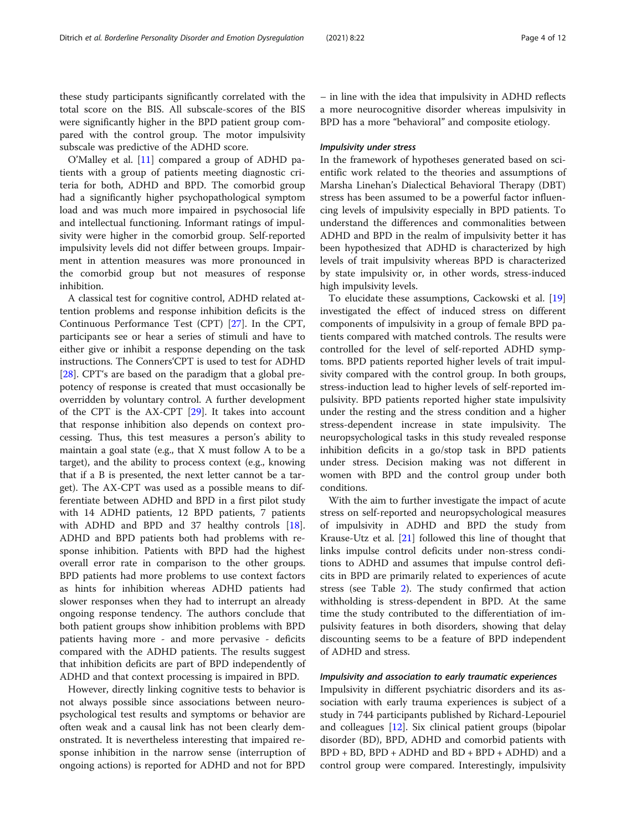these study participants significantly correlated with the total score on the BIS. All subscale-scores of the BIS were significantly higher in the BPD patient group compared with the control group. The motor impulsivity subscale was predictive of the ADHD score.

O'Malley et al. [[11\]](#page-10-0) compared a group of ADHD patients with a group of patients meeting diagnostic criteria for both, ADHD and BPD. The comorbid group had a significantly higher psychopathological symptom load and was much more impaired in psychosocial life and intellectual functioning. Informant ratings of impulsivity were higher in the comorbid group. Self-reported impulsivity levels did not differ between groups. Impairment in attention measures was more pronounced in the comorbid group but not measures of response inhibition.

A classical test for cognitive control, ADHD related attention problems and response inhibition deficits is the Continuous Performance Test (CPT) [\[27\]](#page-11-0). In the CPT, participants see or hear a series of stimuli and have to either give or inhibit a response depending on the task instructions. The Conners'CPT is used to test for ADHD [[28\]](#page-11-0). CPT's are based on the paradigm that a global prepotency of response is created that must occasionally be overridden by voluntary control. A further development of the CPT is the AX-CPT [[29\]](#page-11-0). It takes into account that response inhibition also depends on context processing. Thus, this test measures a person's ability to maintain a goal state (e.g., that X must follow A to be a target), and the ability to process context (e.g., knowing that if a B is presented, the next letter cannot be a target). The AX-CPT was used as a possible means to differentiate between ADHD and BPD in a first pilot study with 14 ADHD patients, 12 BPD patients, 7 patients with ADHD and BPD and 37 healthy controls [\[18](#page-10-0)]. ADHD and BPD patients both had problems with response inhibition. Patients with BPD had the highest overall error rate in comparison to the other groups. BPD patients had more problems to use context factors as hints for inhibition whereas ADHD patients had slower responses when they had to interrupt an already ongoing response tendency. The authors conclude that both patient groups show inhibition problems with BPD patients having more - and more pervasive - deficits compared with the ADHD patients. The results suggest that inhibition deficits are part of BPD independently of ADHD and that context processing is impaired in BPD.

However, directly linking cognitive tests to behavior is not always possible since associations between neuropsychological test results and symptoms or behavior are often weak and a causal link has not been clearly demonstrated. It is nevertheless interesting that impaired response inhibition in the narrow sense (interruption of ongoing actions) is reported for ADHD and not for BPD

– in line with the idea that impulsivity in ADHD reflects a more neurocognitive disorder whereas impulsivity in BPD has a more "behavioral" and composite etiology.

#### Impulsivity under stress

In the framework of hypotheses generated based on scientific work related to the theories and assumptions of Marsha Linehan's Dialectical Behavioral Therapy (DBT) stress has been assumed to be a powerful factor influencing levels of impulsivity especially in BPD patients. To understand the differences and commonalities between ADHD and BPD in the realm of impulsivity better it has been hypothesized that ADHD is characterized by high levels of trait impulsivity whereas BPD is characterized by state impulsivity or, in other words, stress-induced high impulsivity levels.

To elucidate these assumptions, Cackowski et al. [[19](#page-10-0)] investigated the effect of induced stress on different components of impulsivity in a group of female BPD patients compared with matched controls. The results were controlled for the level of self-reported ADHD symptoms. BPD patients reported higher levels of trait impulsivity compared with the control group. In both groups, stress-induction lead to higher levels of self-reported impulsivity. BPD patients reported higher state impulsivity under the resting and the stress condition and a higher stress-dependent increase in state impulsivity. The neuropsychological tasks in this study revealed response inhibition deficits in a go/stop task in BPD patients under stress. Decision making was not different in women with BPD and the control group under both conditions.

With the aim to further investigate the impact of acute stress on self-reported and neuropsychological measures of impulsivity in ADHD and BPD the study from Krause-Utz et al. [\[21](#page-10-0)] followed this line of thought that links impulse control deficits under non-stress conditions to ADHD and assumes that impulse control deficits in BPD are primarily related to experiences of acute stress (see Table [2](#page-4-0)). The study confirmed that action withholding is stress-dependent in BPD. At the same time the study contributed to the differentiation of impulsivity features in both disorders, showing that delay discounting seems to be a feature of BPD independent of ADHD and stress.

#### Impulsivity and association to early traumatic experiences

Impulsivity in different psychiatric disorders and its association with early trauma experiences is subject of a study in 744 participants published by Richard-Lepouriel and colleagues [\[12\]](#page-10-0). Six clinical patient groups (bipolar disorder (BD), BPD, ADHD and comorbid patients with  $BPD + BD$ ,  $BPD + ADHD$  and  $BD + BPD + ADHD$  and a control group were compared. Interestingly, impulsivity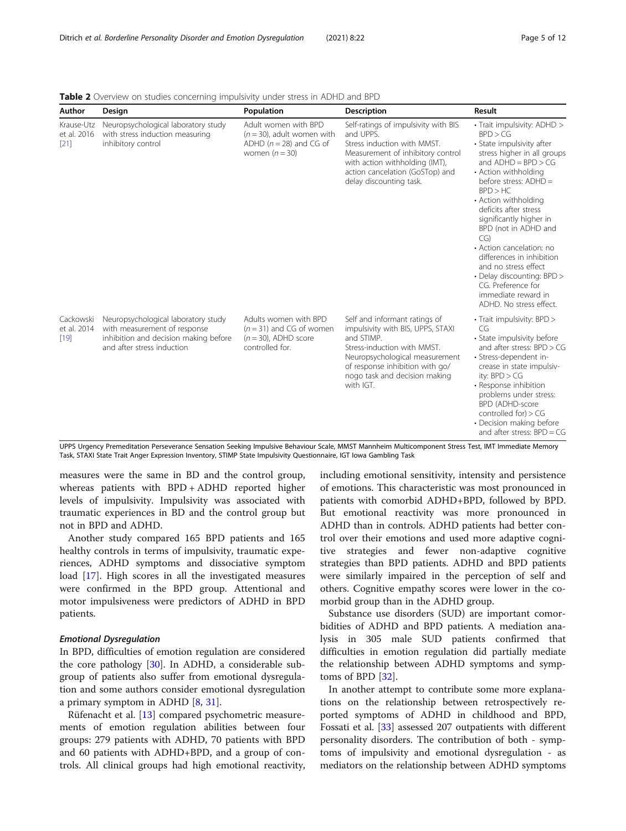| Author                            | Design                                                                                                                                     | Population                                                                                               | <b>Description</b>                                                                                                                                                                                                                 | Result                                                                                                                                                                                                                                                                                                                                                                                                                                                                                      |
|-----------------------------------|--------------------------------------------------------------------------------------------------------------------------------------------|----------------------------------------------------------------------------------------------------------|------------------------------------------------------------------------------------------------------------------------------------------------------------------------------------------------------------------------------------|---------------------------------------------------------------------------------------------------------------------------------------------------------------------------------------------------------------------------------------------------------------------------------------------------------------------------------------------------------------------------------------------------------------------------------------------------------------------------------------------|
| Krause-Utz<br>et al. 2016<br>[21] | Neuropsychological laboratory study<br>with stress induction measuring<br>inhibitory control                                               | Adult women with BPD<br>$(n = 30)$ , adult women with<br>ADHD ( $n = 28$ ) and CG of<br>women $(n = 30)$ | Self-ratings of impulsivity with BIS<br>and UPPS.<br>Stress induction with MMST.<br>Measurement of inhibitory control<br>with action withholding (IMT),<br>action cancelation (GoSTop) and<br>delay discounting task.              | • Trait impulsivity: ADHD ><br>BPD > CG<br>• State impulsivity after<br>stress higher in all groups<br>and $ADHD = BPD > CG$<br>• Action withholding<br>before stress: ADHD =<br>BPD > HC<br>• Action withholding<br>deficits after stress<br>significantly higher in<br>BPD (not in ADHD and<br>CG)<br>• Action cancelation: no<br>differences in inhibition<br>and no stress effect<br>• Delay discounting: BPD ><br>CG. Preference for<br>immediate reward in<br>ADHD. No stress effect. |
| Cackowski<br>et al. 2014<br>[19]  | Neuropsychological laboratory study<br>with measurement of response<br>inhibition and decision making before<br>and after stress induction | Adults women with BPD<br>$(n = 31)$ and CG of women<br>$(n = 30)$ . ADHD score<br>controlled for.        | Self and informant ratings of<br>impulsivity with BIS, UPPS, STAXI<br>and STIMP.<br>Stress-induction with MMST.<br>Neuropsychological measurement<br>of response inhibition with go/<br>nogo task and decision making<br>with IGT. | • Trait impulsivity: BPD ><br>CG<br>• State impulsivity before<br>and after stress: $BPD > CG$<br>· Stress-dependent in-<br>crease in state impulsiv-<br>ity: $BPD > CG$<br>• Response inhibition<br>problems under stress:<br><b>BPD (ADHD-score</b><br>controlled for $) > CG$<br>• Decision making before<br>and after stress: $BPD = CG$                                                                                                                                                |

<span id="page-4-0"></span>Table 2 Overview on studies concerning impulsivity under stress in ADHD and BPD

UPPS Urgency Premeditation Perseverance Sensation Seeking Impulsive Behaviour Scale, MMST Mannheim Multicomponent Stress Test, IMT Immediate Memory Task, STAXI State Trait Anger Expression Inventory, STIMP State Impulsivity Questionnaire, IGT Iowa Gambling Task

measures were the same in BD and the control group, whereas patients with BPD + ADHD reported higher levels of impulsivity. Impulsivity was associated with traumatic experiences in BD and the control group but not in BPD and ADHD.

Another study compared 165 BPD patients and 165 healthy controls in terms of impulsivity, traumatic experiences, ADHD symptoms and dissociative symptom load [[17\]](#page-10-0). High scores in all the investigated measures were confirmed in the BPD group. Attentional and motor impulsiveness were predictors of ADHD in BPD patients.

#### Emotional Dysregulation

In BPD, difficulties of emotion regulation are considered the core pathology [\[30](#page-11-0)]. In ADHD, a considerable subgroup of patients also suffer from emotional dysregulation and some authors consider emotional dysregulation a primary symptom in ADHD [[8,](#page-10-0) [31\]](#page-11-0).

Rüfenacht et al. [\[13](#page-10-0)] compared psychometric measurements of emotion regulation abilities between four groups: 279 patients with ADHD, 70 patients with BPD and 60 patients with ADHD+BPD, and a group of controls. All clinical groups had high emotional reactivity,

including emotional sensitivity, intensity and persistence of emotions. This characteristic was most pronounced in patients with comorbid ADHD+BPD, followed by BPD. But emotional reactivity was more pronounced in ADHD than in controls. ADHD patients had better control over their emotions and used more adaptive cognitive strategies and fewer non-adaptive cognitive strategies than BPD patients. ADHD and BPD patients were similarly impaired in the perception of self and others. Cognitive empathy scores were lower in the comorbid group than in the ADHD group.

Substance use disorders (SUD) are important comorbidities of ADHD and BPD patients. A mediation analysis in 305 male SUD patients confirmed that difficulties in emotion regulation did partially mediate the relationship between ADHD symptoms and symptoms of BPD [\[32](#page-11-0)].

In another attempt to contribute some more explanations on the relationship between retrospectively reported symptoms of ADHD in childhood and BPD, Fossati et al. [\[33](#page-11-0)] assessed 207 outpatients with different personality disorders. The contribution of both - symptoms of impulsivity and emotional dysregulation - as mediators on the relationship between ADHD symptoms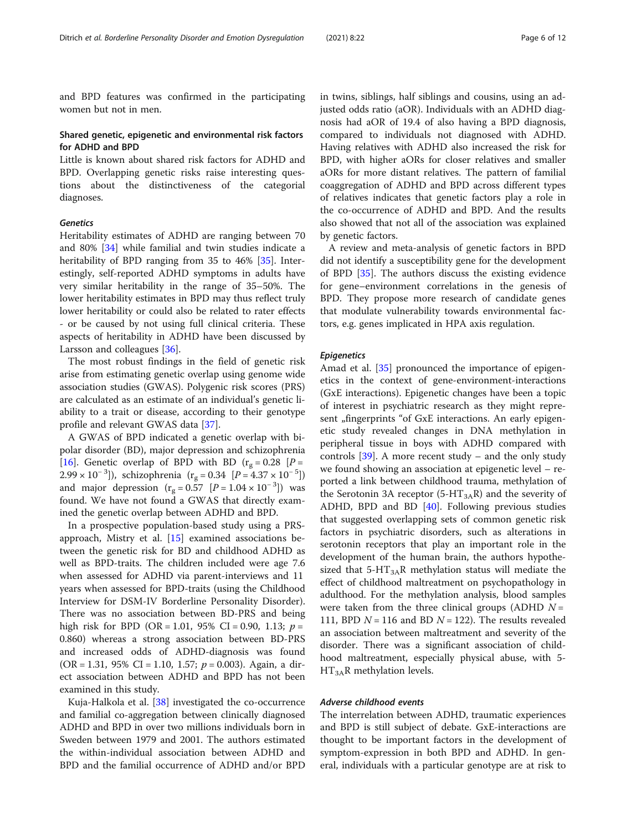and BPD features was confirmed in the participating women but not in men.

#### Shared genetic, epigenetic and environmental risk factors for ADHD and BPD

Little is known about shared risk factors for ADHD and BPD. Overlapping genetic risks raise interesting questions about the distinctiveness of the categorial diagnoses.

#### Genetics

Heritability estimates of ADHD are ranging between 70 and 80% [[34](#page-11-0)] while familial and twin studies indicate a heritability of BPD ranging from 35 to 46% [[35\]](#page-11-0). Interestingly, self-reported ADHD symptoms in adults have very similar heritability in the range of 35–50%. The lower heritability estimates in BPD may thus reflect truly lower heritability or could also be related to rater effects - or be caused by not using full clinical criteria. These aspects of heritability in ADHD have been discussed by Larsson and colleagues [\[36\]](#page-11-0).

The most robust findings in the field of genetic risk arise from estimating genetic overlap using genome wide association studies (GWAS). Polygenic risk scores (PRS) are calculated as an estimate of an individual's genetic liability to a trait or disease, according to their genotype profile and relevant GWAS data [[37\]](#page-11-0).

A GWAS of BPD indicated a genetic overlap with bipolar disorder (BD), major depression and schizophrenia [[16\]](#page-10-0). Genetic overlap of BPD with BD  $(r<sub>g</sub> = 0.28$  [P =  $(2.99 \times 10^{-3})$ , schizophrenia (r<sub>g</sub> = 0.34 [P = 4.37 × 10<sup>-5</sup>]) and major depression ( $r_g = 0.57$  [ $P = 1.04 \times 10^{-3}$ ]) was found. We have not found a GWAS that directly examined the genetic overlap between ADHD and BPD.

In a prospective population-based study using a PRSapproach, Mistry et al. [\[15](#page-10-0)] examined associations between the genetic risk for BD and childhood ADHD as well as BPD-traits. The children included were age 7.6 when assessed for ADHD via parent-interviews and 11 years when assessed for BPD-traits (using the Childhood Interview for DSM-IV Borderline Personality Disorder). There was no association between BD-PRS and being high risk for BPD (OR = 1.01, 95% CI = 0.90, 1.13;  $p =$ 0.860) whereas a strong association between BD-PRS and increased odds of ADHD-diagnosis was found  $(OR = 1.31, 95\% CI = 1.10, 1.57; p = 0.003)$ . Again, a direct association between ADHD and BPD has not been examined in this study.

Kuja-Halkola et al. [\[38](#page-11-0)] investigated the co-occurrence and familial co-aggregation between clinically diagnosed ADHD and BPD in over two millions individuals born in Sweden between 1979 and 2001. The authors estimated the within-individual association between ADHD and BPD and the familial occurrence of ADHD and/or BPD in twins, siblings, half siblings and cousins, using an adjusted odds ratio (aOR). Individuals with an ADHD diagnosis had aOR of 19.4 of also having a BPD diagnosis, compared to individuals not diagnosed with ADHD. Having relatives with ADHD also increased the risk for BPD, with higher aORs for closer relatives and smaller aORs for more distant relatives. The pattern of familial coaggregation of ADHD and BPD across different types of relatives indicates that genetic factors play a role in the co-occurrence of ADHD and BPD. And the results also showed that not all of the association was explained by genetic factors.

A review and meta-analysis of genetic factors in BPD did not identify a susceptibility gene for the development of BPD [[35\]](#page-11-0). The authors discuss the existing evidence for gene–environment correlations in the genesis of BPD. They propose more research of candidate genes that modulate vulnerability towards environmental factors, e.g. genes implicated in HPA axis regulation.

#### Epigenetics

Amad et al. [\[35](#page-11-0)] pronounced the importance of epigenetics in the context of gene-environment-interactions (GxE interactions). Epigenetic changes have been a topic of interest in psychiatric research as they might represent "fingerprints "of GxE interactions. An early epigenetic study revealed changes in DNA methylation in peripheral tissue in boys with ADHD compared with controls  $[39]$  $[39]$ . A more recent study – and the only study we found showing an association at epigenetic level – reported a link between childhood trauma, methylation of the Serotonin 3A receptor  $(5-HT<sub>3A</sub>R)$  and the severity of ADHD, BPD and BD [[40](#page-11-0)]. Following previous studies that suggested overlapping sets of common genetic risk factors in psychiatric disorders, such as alterations in serotonin receptors that play an important role in the development of the human brain, the authors hypothesized that 5-HT<sub>3A</sub>R methylation status will mediate the effect of childhood maltreatment on psychopathology in adulthood. For the methylation analysis, blood samples were taken from the three clinical groups (ADHD  $N =$ 111, BPD  $N = 116$  and BD  $N = 122$ ). The results revealed an association between maltreatment and severity of the disorder. There was a significant association of childhood maltreatment, especially physical abuse, with 5-  $HT<sub>3A</sub>R$  methylation levels.

#### Adverse childhood events

The interrelation between ADHD, traumatic experiences and BPD is still subject of debate. GxE-interactions are thought to be important factors in the development of symptom-expression in both BPD and ADHD. In general, individuals with a particular genotype are at risk to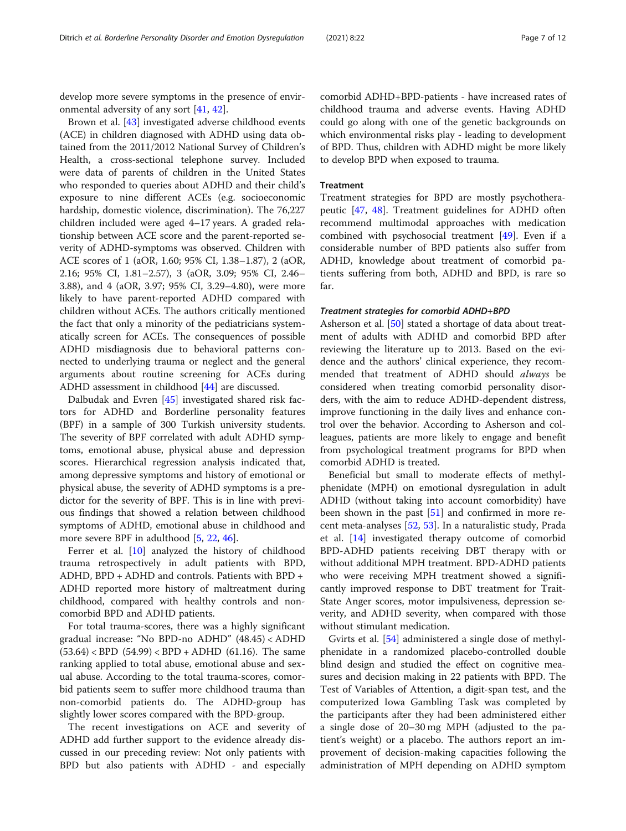develop more severe symptoms in the presence of environmental adversity of any sort [\[41](#page-11-0), [42\]](#page-11-0).

Brown et al. [\[43](#page-11-0)] investigated adverse childhood events (ACE) in children diagnosed with ADHD using data obtained from the 2011/2012 National Survey of Children's Health, a cross-sectional telephone survey. Included were data of parents of children in the United States who responded to queries about ADHD and their child's exposure to nine different ACEs (e.g. socioeconomic hardship, domestic violence, discrimination). The 76,227 children included were aged 4–17 years. A graded relationship between ACE score and the parent-reported severity of ADHD-symptoms was observed. Children with ACE scores of 1 (aOR, 1.60; 95% CI, 1.38–1.87), 2 (aOR, 2.16; 95% CI, 1.81–2.57), 3 (aOR, 3.09; 95% CI, 2.46– 3.88), and 4 (aOR, 3.97; 95% CI, 3.29–4.80), were more likely to have parent-reported ADHD compared with children without ACEs. The authors critically mentioned the fact that only a minority of the pediatricians systematically screen for ACEs. The consequences of possible ADHD misdiagnosis due to behavioral patterns connected to underlying trauma or neglect and the general arguments about routine screening for ACEs during ADHD assessment in childhood [\[44](#page-11-0)] are discussed.

Dalbudak and Evren [[45\]](#page-11-0) investigated shared risk factors for ADHD and Borderline personality features (BPF) in a sample of 300 Turkish university students. The severity of BPF correlated with adult ADHD symptoms, emotional abuse, physical abuse and depression scores. Hierarchical regression analysis indicated that, among depressive symptoms and history of emotional or physical abuse, the severity of ADHD symptoms is a predictor for the severity of BPF. This is in line with previous findings that showed a relation between childhood symptoms of ADHD, emotional abuse in childhood and more severe BPF in adulthood [[5,](#page-10-0) [22,](#page-10-0) [46\]](#page-11-0).

Ferrer et al. [[10\]](#page-10-0) analyzed the history of childhood trauma retrospectively in adult patients with BPD, ADHD, BPD + ADHD and controls. Patients with BPD + ADHD reported more history of maltreatment during childhood, compared with healthy controls and noncomorbid BPD and ADHD patients.

For total trauma-scores, there was a highly significant gradual increase: "No BPD-no ADHD" (48.45) < ADHD  $(53.64)$  < BPD  $(54.99)$  < BPD + ADHD  $(61.16)$ . The same ranking applied to total abuse, emotional abuse and sexual abuse. According to the total trauma-scores, comorbid patients seem to suffer more childhood trauma than non-comorbid patients do. The ADHD-group has slightly lower scores compared with the BPD-group.

The recent investigations on ACE and severity of ADHD add further support to the evidence already discussed in our preceding review: Not only patients with BPD but also patients with ADHD - and especially comorbid ADHD+BPD-patients - have increased rates of childhood trauma and adverse events. Having ADHD could go along with one of the genetic backgrounds on which environmental risks play - leading to development of BPD. Thus, children with ADHD might be more likely to develop BPD when exposed to trauma.

#### **Treatment**

Treatment strategies for BPD are mostly psychotherapeutic [[47](#page-11-0), [48](#page-11-0)]. Treatment guidelines for ADHD often recommend multimodal approaches with medication combined with psychosocial treatment [\[49\]](#page-11-0). Even if a considerable number of BPD patients also suffer from ADHD, knowledge about treatment of comorbid patients suffering from both, ADHD and BPD, is rare so far.

#### Treatment strategies for comorbid ADHD+BPD

Asherson et al. [[50](#page-11-0)] stated a shortage of data about treatment of adults with ADHD and comorbid BPD after reviewing the literature up to 2013. Based on the evidence and the authors' clinical experience, they recommended that treatment of ADHD should always be considered when treating comorbid personality disorders, with the aim to reduce ADHD-dependent distress, improve functioning in the daily lives and enhance control over the behavior. According to Asherson and colleagues, patients are more likely to engage and benefit from psychological treatment programs for BPD when comorbid ADHD is treated.

Beneficial but small to moderate effects of methylphenidate (MPH) on emotional dysregulation in adult ADHD (without taking into account comorbidity) have been shown in the past [\[51](#page-11-0)] and confirmed in more recent meta-analyses [\[52,](#page-11-0) [53\]](#page-11-0). In a naturalistic study, Prada et al. [[14\]](#page-10-0) investigated therapy outcome of comorbid BPD-ADHD patients receiving DBT therapy with or without additional MPH treatment. BPD-ADHD patients who were receiving MPH treatment showed a significantly improved response to DBT treatment for Trait-State Anger scores, motor impulsiveness, depression severity, and ADHD severity, when compared with those without stimulant medication.

Gvirts et al. [\[54](#page-11-0)] administered a single dose of methylphenidate in a randomized placebo-controlled double blind design and studied the effect on cognitive measures and decision making in 22 patients with BPD. The Test of Variables of Attention, a digit-span test, and the computerized Iowa Gambling Task was completed by the participants after they had been administered either a single dose of 20–30 mg MPH (adjusted to the patient's weight) or a placebo. The authors report an improvement of decision-making capacities following the administration of MPH depending on ADHD symptom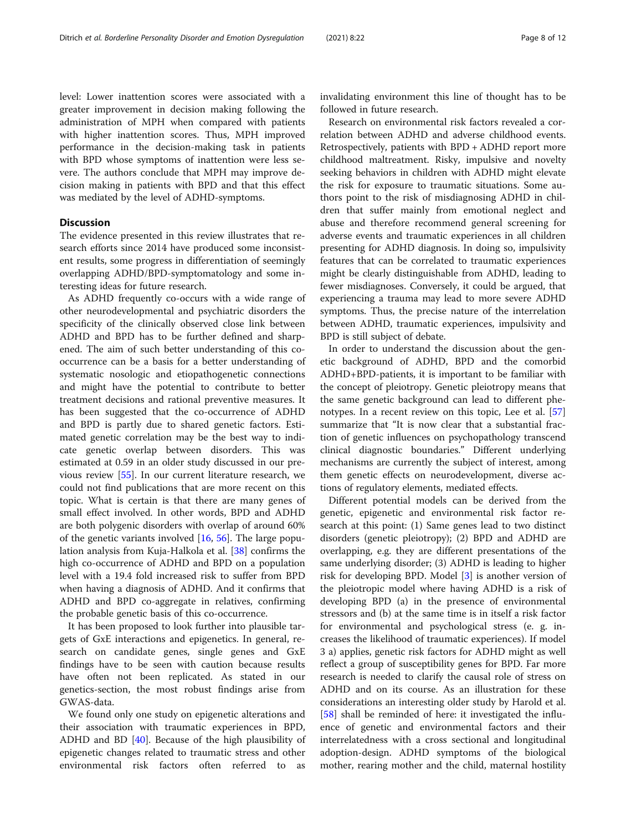level: Lower inattention scores were associated with a greater improvement in decision making following the administration of MPH when compared with patients with higher inattention scores. Thus, MPH improved performance in the decision-making task in patients with BPD whose symptoms of inattention were less se-

vere. The authors conclude that MPH may improve decision making in patients with BPD and that this effect was mediated by the level of ADHD-symptoms.

#### **Discussion**

The evidence presented in this review illustrates that research efforts since 2014 have produced some inconsistent results, some progress in differentiation of seemingly overlapping ADHD/BPD-symptomatology and some interesting ideas for future research.

As ADHD frequently co-occurs with a wide range of other neurodevelopmental and psychiatric disorders the specificity of the clinically observed close link between ADHD and BPD has to be further defined and sharpened. The aim of such better understanding of this cooccurrence can be a basis for a better understanding of systematic nosologic and etiopathogenetic connections and might have the potential to contribute to better treatment decisions and rational preventive measures. It has been suggested that the co-occurrence of ADHD and BPD is partly due to shared genetic factors. Estimated genetic correlation may be the best way to indicate genetic overlap between disorders. This was estimated at 0.59 in an older study discussed in our previous review [\[55\]](#page-11-0). In our current literature research, we could not find publications that are more recent on this topic. What is certain is that there are many genes of small effect involved. In other words, BPD and ADHD are both polygenic disorders with overlap of around 60% of the genetic variants involved [[16,](#page-10-0) [56\]](#page-11-0). The large population analysis from Kuja-Halkola et al. [[38](#page-11-0)] confirms the high co-occurrence of ADHD and BPD on a population level with a 19.4 fold increased risk to suffer from BPD when having a diagnosis of ADHD. And it confirms that ADHD and BPD co-aggregate in relatives, confirming the probable genetic basis of this co-occurrence.

It has been proposed to look further into plausible targets of GxE interactions and epigenetics. In general, research on candidate genes, single genes and GxE findings have to be seen with caution because results have often not been replicated. As stated in our genetics-section, the most robust findings arise from GWAS-data.

We found only one study on epigenetic alterations and their association with traumatic experiences in BPD, ADHD and BD [\[40](#page-11-0)]. Because of the high plausibility of epigenetic changes related to traumatic stress and other environmental risk factors often referred to as

invalidating environment this line of thought has to be followed in future research.

Research on environmental risk factors revealed a correlation between ADHD and adverse childhood events. Retrospectively, patients with BPD + ADHD report more childhood maltreatment. Risky, impulsive and novelty seeking behaviors in children with ADHD might elevate the risk for exposure to traumatic situations. Some authors point to the risk of misdiagnosing ADHD in children that suffer mainly from emotional neglect and abuse and therefore recommend general screening for adverse events and traumatic experiences in all children presenting for ADHD diagnosis. In doing so, impulsivity features that can be correlated to traumatic experiences might be clearly distinguishable from ADHD, leading to fewer misdiagnoses. Conversely, it could be argued, that experiencing a trauma may lead to more severe ADHD symptoms. Thus, the precise nature of the interrelation between ADHD, traumatic experiences, impulsivity and BPD is still subject of debate.

In order to understand the discussion about the genetic background of ADHD, BPD and the comorbid ADHD+BPD-patients, it is important to be familiar with the concept of pleiotropy. Genetic pleiotropy means that the same genetic background can lead to different phenotypes. In a recent review on this topic, Lee et al. [[57](#page-11-0)] summarize that "It is now clear that a substantial fraction of genetic influences on psychopathology transcend clinical diagnostic boundaries." Different underlying mechanisms are currently the subject of interest, among them genetic effects on neurodevelopment, diverse actions of regulatory elements, mediated effects.

Different potential models can be derived from the genetic, epigenetic and environmental risk factor research at this point: (1) Same genes lead to two distinct disorders (genetic pleiotropy); (2) BPD and ADHD are overlapping, e.g. they are different presentations of the same underlying disorder; (3) ADHD is leading to higher risk for developing BPD. Model [\[3\]](#page-10-0) is another version of the pleiotropic model where having ADHD is a risk of developing BPD (a) in the presence of environmental stressors and (b) at the same time is in itself a risk factor for environmental and psychological stress (e. g. increases the likelihood of traumatic experiences). If model 3 a) applies, genetic risk factors for ADHD might as well reflect a group of susceptibility genes for BPD. Far more research is needed to clarify the causal role of stress on ADHD and on its course. As an illustration for these considerations an interesting older study by Harold et al. [[58\]](#page-11-0) shall be reminded of here: it investigated the influence of genetic and environmental factors and their interrelatedness with a cross sectional and longitudinal adoption-design. ADHD symptoms of the biological mother, rearing mother and the child, maternal hostility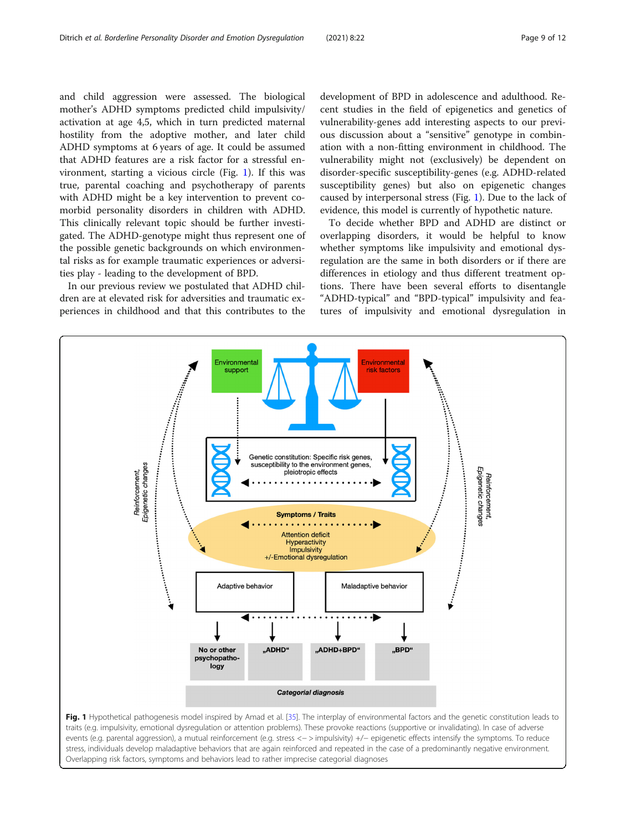<span id="page-8-0"></span>and child aggression were assessed. The biological mother's ADHD symptoms predicted child impulsivity/ activation at age 4,5, which in turn predicted maternal hostility from the adoptive mother, and later child ADHD symptoms at 6 years of age. It could be assumed that ADHD features are a risk factor for a stressful environment, starting a vicious circle (Fig. 1). If this was true, parental coaching and psychotherapy of parents with ADHD might be a key intervention to prevent comorbid personality disorders in children with ADHD. This clinically relevant topic should be further investigated. The ADHD-genotype might thus represent one of the possible genetic backgrounds on which environmental risks as for example traumatic experiences or adversities play - leading to the development of BPD.

In our previous review we postulated that ADHD children are at elevated risk for adversities and traumatic experiences in childhood and that this contributes to the development of BPD in adolescence and adulthood. Recent studies in the field of epigenetics and genetics of vulnerability-genes add interesting aspects to our previous discussion about a "sensitive" genotype in combination with a non-fitting environment in childhood. The vulnerability might not (exclusively) be dependent on disorder-specific susceptibility-genes (e.g. ADHD-related susceptibility genes) but also on epigenetic changes caused by interpersonal stress (Fig. 1). Due to the lack of evidence, this model is currently of hypothetic nature.

To decide whether BPD and ADHD are distinct or overlapping disorders, it would be helpful to know whether symptoms like impulsivity and emotional dysregulation are the same in both disorders or if there are differences in etiology and thus different treatment options. There have been several efforts to disentangle "ADHD-typical" and "BPD-typical" impulsivity and features of impulsivity and emotional dysregulation in



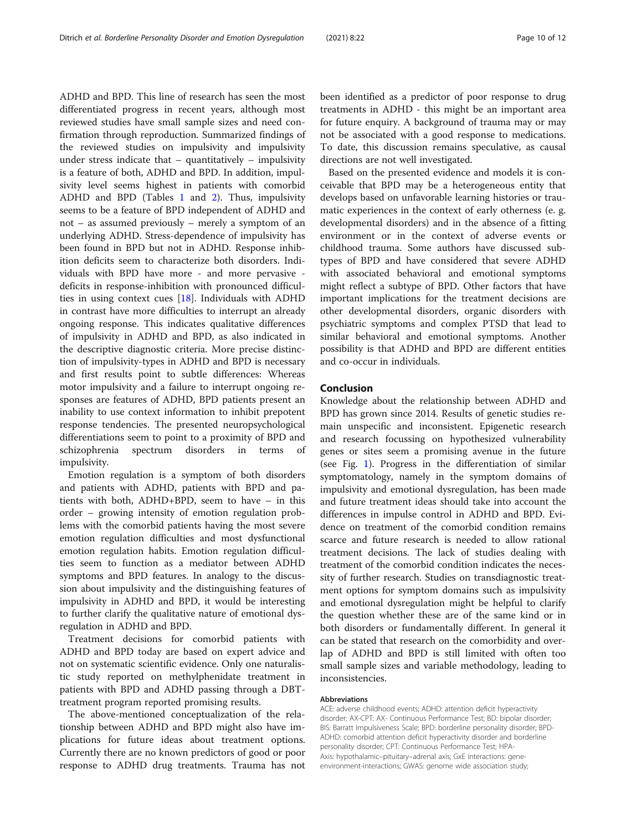ADHD and BPD. This line of research has seen the most differentiated progress in recent years, although most reviewed studies have small sample sizes and need confirmation through reproduction. Summarized findings of the reviewed studies on impulsivity and impulsivity under stress indicate that  $-$  quantitatively  $-$  impulsivity is a feature of both, ADHD and BPD. In addition, impulsivity level seems highest in patients with comorbid ADHD and BPD (Tables [1](#page-2-0) and [2](#page-4-0)). Thus, impulsivity seems to be a feature of BPD independent of ADHD and not – as assumed previously – merely a symptom of an underlying ADHD. Stress-dependence of impulsivity has been found in BPD but not in ADHD. Response inhibition deficits seem to characterize both disorders. Individuals with BPD have more - and more pervasive deficits in response-inhibition with pronounced difficulties in using context cues [[18\]](#page-10-0). Individuals with ADHD in contrast have more difficulties to interrupt an already ongoing response. This indicates qualitative differences of impulsivity in ADHD and BPD, as also indicated in the descriptive diagnostic criteria. More precise distinction of impulsivity-types in ADHD and BPD is necessary and first results point to subtle differences: Whereas motor impulsivity and a failure to interrupt ongoing responses are features of ADHD, BPD patients present an inability to use context information to inhibit prepotent response tendencies. The presented neuropsychological differentiations seem to point to a proximity of BPD and schizophrenia spectrum disorders in terms of impulsivity.

Emotion regulation is a symptom of both disorders and patients with ADHD, patients with BPD and patients with both, ADHD+BPD, seem to have – in this order – growing intensity of emotion regulation problems with the comorbid patients having the most severe emotion regulation difficulties and most dysfunctional emotion regulation habits. Emotion regulation difficulties seem to function as a mediator between ADHD symptoms and BPD features. In analogy to the discussion about impulsivity and the distinguishing features of impulsivity in ADHD and BPD, it would be interesting to further clarify the qualitative nature of emotional dysregulation in ADHD and BPD.

Treatment decisions for comorbid patients with ADHD and BPD today are based on expert advice and not on systematic scientific evidence. Only one naturalistic study reported on methylphenidate treatment in patients with BPD and ADHD passing through a DBTtreatment program reported promising results.

The above-mentioned conceptualization of the relationship between ADHD and BPD might also have implications for future ideas about treatment options. Currently there are no known predictors of good or poor response to ADHD drug treatments. Trauma has not

been identified as a predictor of poor response to drug treatments in ADHD - this might be an important area for future enquiry. A background of trauma may or may not be associated with a good response to medications. To date, this discussion remains speculative, as causal directions are not well investigated.

Based on the presented evidence and models it is conceivable that BPD may be a heterogeneous entity that develops based on unfavorable learning histories or traumatic experiences in the context of early otherness (e. g. developmental disorders) and in the absence of a fitting environment or in the context of adverse events or childhood trauma. Some authors have discussed subtypes of BPD and have considered that severe ADHD with associated behavioral and emotional symptoms might reflect a subtype of BPD. Other factors that have important implications for the treatment decisions are other developmental disorders, organic disorders with psychiatric symptoms and complex PTSD that lead to similar behavioral and emotional symptoms. Another possibility is that ADHD and BPD are different entities and co-occur in individuals.

#### Conclusion

Knowledge about the relationship between ADHD and BPD has grown since 2014. Results of genetic studies remain unspecific and inconsistent. Epigenetic research and research focussing on hypothesized vulnerability genes or sites seem a promising avenue in the future (see Fig. [1\)](#page-8-0). Progress in the differentiation of similar symptomatology, namely in the symptom domains of impulsivity and emotional dysregulation, has been made and future treatment ideas should take into account the differences in impulse control in ADHD and BPD. Evidence on treatment of the comorbid condition remains scarce and future research is needed to allow rational treatment decisions. The lack of studies dealing with treatment of the comorbid condition indicates the necessity of further research. Studies on transdiagnostic treatment options for symptom domains such as impulsivity and emotional dysregulation might be helpful to clarify the question whether these are of the same kind or in both disorders or fundamentally different. In general it can be stated that research on the comorbidity and overlap of ADHD and BPD is still limited with often too small sample sizes and variable methodology, leading to inconsistencies.

#### Abbreviations

ACE: adverse childhood events; ADHD: attention deficit hyperactivity disorder; AX-CPT: AX- Continuous Performance Test; BD: bipolar disorder; BIS: Barratt Impulsiveness Scale; BPD: borderline personality disorder; BPD-ADHD: comorbid attention deficit hyperactivity disorder and borderline personality disorder; CPT: Continuous Performance Test; HPA-Axis: hypothalamic–pituitary–adrenal axis; GxE interactions: geneenvironment-interactions; GWAS: genome wide association study;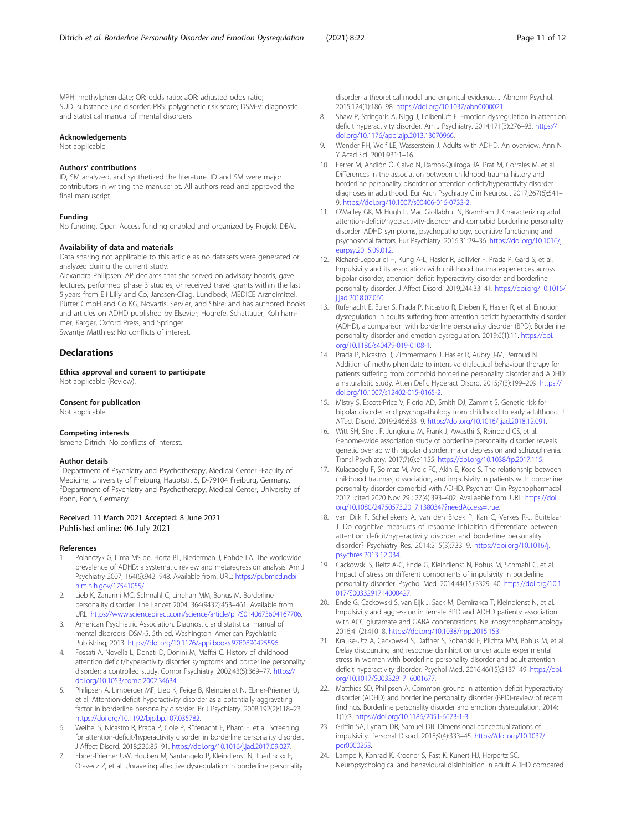<span id="page-10-0"></span>MPH: methylphenidate; OR: odds ratio; aOR: adjusted odds ratio; SUD: substance use disorder; PRS: polygenetic risk score; DSM-V: diagnostic and statistical manual of mental disorders

#### Acknowledgements

Not applicable.

#### Authors' contributions

ID, SM analyzed, and synthetized the literature. ID and SM were major contributors in writing the manuscript. All authors read and approved the final manuscript.

#### Funding

No funding. Open Access funding enabled and organized by Projekt DEAL.

#### Availability of data and materials

Data sharing not applicable to this article as no datasets were generated or analyzed during the current study.

Alexandra Philipsen: AP declares that she served on advisory boards, gave lectures, performed phase 3 studies, or received travel grants within the last 5 years from Eli Lilly and Co, Janssen-Cilag, Lundbeck, MEDICE Arzneimittel, Pütter GmbH and Co KG, Novartis, Servier, and Shire; and has authored books and articles on ADHD published by Elsevier, Hogrefe, Schattauer, Kohlhammer, Karger, Oxford Press, and Springer.

Swantje Matthies: No conflicts of interest.

#### **Declarations**

Ethics approval and consent to participate Not applicable (Review).

#### Consent for publication

Not applicable.

#### Competing interests

Ismene Ditrich: No conflicts of interest.

#### Author details

<sup>1</sup>Department of Psychiatry and Psychotherapy, Medical Center -Faculty of Medicine, University of Freiburg, Hauptstr. 5, D-79104 Freiburg, Germany. <sup>2</sup> Department of Psychiatry and Psychotherapy, Medical Center, University of Bonn, Bonn, Germany.

#### Received: 11 March 2021 Accepted: 8 June 2021 Published online: 06 July 2021

#### References

- 1. Polanczyk G, Lima MS de, Horta BL, Biederman J, Rohde LA. The worldwide prevalence of ADHD: a systematic review and metaregression analysis. Am J Psychiatry 2007; 164(6):942–948. Available from: URL: [https://pubmed.ncbi.](https://pubmed.ncbi.nlm.nih.gov/17541055/) [nlm.nih.gov/17541055/](https://pubmed.ncbi.nlm.nih.gov/17541055/).
- Lieb K, Zanarini MC, Schmahl C, Linehan MM, Bohus M. Borderline personality disorder. The Lancet 2004; 364(9432):453–461. Available from: URL: [https://www.sciencedirect.com/science/article/pii/S0140673604167706.](https://www.sciencedirect.com/science/article/pii/S0140673604167706)
- 3. American Psychiatric Association. Diagnostic and statistical manual of mental disorders: DSM-5. 5th ed. Washington: American Psychiatric Publishing; 2013. [https://doi.org/10.1176/appi.books.9780890425596.](https://doi.org/10.1176/appi.books.9780890425596)
- 4. Fossati A, Novella L, Donati D, Donini M, Maffei C. History of childhood attention deficit/hyperactivity disorder symptoms and borderline personality disorder: a controlled study. Compr Psychiatry. 2002;43(5):369–77. [https://](https://doi.org/10.1053/comp.2002.34634) [doi.org/10.1053/comp.2002.34634.](https://doi.org/10.1053/comp.2002.34634)
- 5. Philipsen A, Limberger MF, Lieb K, Feige B, Kleindienst N, Ebner-Priemer U, et al. Attention-deficit hyperactivity disorder as a potentially aggravating factor in borderline personality disorder. Br J Psychiatry. 2008;192(2):118–23. <https://doi.org/10.1192/bjp.bp.107.035782>.
- 6. Weibel S, Nicastro R, Prada P, Cole P, Rüfenacht E, Pham E, et al. Screening for attention-deficit/hyperactivity disorder in borderline personality disorder. J Affect Disord. 2018;226:85–91. <https://doi.org/10.1016/j.jad.2017.09.027>.
- 7. Ebner-Priemer UW, Houben M, Santangelo P, Kleindienst N, Tuerlinckx F, Oravecz Z, et al. Unraveling affective dysregulation in borderline personality

disorder: a theoretical model and empirical evidence. J Abnorm Psychol. 2015;124(1):186–98. [https://doi.org/10.1037/abn0000021.](https://doi.org/10.1037/abn0000021)

- 8. Shaw P, Stringaris A, Nigg J, Leibenluft E. Emotion dysregulation in attention deficit hyperactivity disorder. Am J Psychiatry. 2014;171(3):276–93. [https://](https://doi.org/10.1176/appi.ajp.2013.13070966) [doi.org/10.1176/appi.ajp.2013.13070966.](https://doi.org/10.1176/appi.ajp.2013.13070966)
- 9. Wender PH, Wolf LE, Wasserstein J. Adults with ADHD. An overview. Ann N Y Acad Sci. 2001;931:1–16.
- 10. Ferrer M, Andión Ó, Calvo N, Ramos-Quiroga JA, Prat M, Corrales M, et al. Differences in the association between childhood trauma history and borderline personality disorder or attention deficit/hyperactivity disorder diagnoses in adulthood. Eur Arch Psychiatry Clin Neurosci. 2017;267(6):541– 9. [https://doi.org/10.1007/s00406-016-0733-2.](https://doi.org/10.1007/s00406-016-0733-2)
- 11. O'Malley GK, McHugh L, Mac Giollabhui N, Bramham J. Characterizing adult attention-deficit/hyperactivity-disorder and comorbid borderline personality disorder: ADHD symptoms, psychopathology, cognitive functioning and psychosocial factors. Eur Psychiatry. 2016;31:29–36. [https://doi.org/10.1016/j.](https://doi.org/10.1016/j.eurpsy.2015.09.012) [eurpsy.2015.09.012.](https://doi.org/10.1016/j.eurpsy.2015.09.012)
- 12. Richard-Lepouriel H, Kung A-L, Hasler R, Bellivier F, Prada P, Gard S, et al. Impulsivity and its association with childhood trauma experiences across bipolar disorder, attention deficit hyperactivity disorder and borderline personality disorder. J Affect Disord. 2019;244:33–41. [https://doi.org/10.1016/](https://doi.org/10.1016/j.jad.2018.07.060) [j.jad.2018.07.060](https://doi.org/10.1016/j.jad.2018.07.060).
- 13. Rüfenacht E, Euler S, Prada P, Nicastro R, Dieben K, Hasler R, et al. Emotion dysregulation in adults suffering from attention deficit hyperactivity disorder (ADHD), a comparison with borderline personality disorder (BPD). Borderline personality disorder and emotion dysregulation. 2019;6(1):11. [https://doi.](https://doi.org/10.1186/s40479-019-0108-1) [org/10.1186/s40479-019-0108-1](https://doi.org/10.1186/s40479-019-0108-1).
- 14. Prada P, Nicastro R, Zimmermann J, Hasler R, Aubry J-M, Perroud N. Addition of methylphenidate to intensive dialectical behaviour therapy for patients suffering from comorbid borderline personality disorder and ADHD: a naturalistic study. Atten Defic Hyperact Disord. 2015;7(3):199–209. [https://](https://doi.org/10.1007/s12402-015-0165-2) [doi.org/10.1007/s12402-015-0165-2.](https://doi.org/10.1007/s12402-015-0165-2)
- 15. Mistry S, Escott-Price V, Florio AD, Smith DJ, Zammit S. Genetic risk for bipolar disorder and psychopathology from childhood to early adulthood. J Affect Disord. 2019;246:633–9. [https://doi.org/10.1016/j.jad.2018.12.091.](https://doi.org/10.1016/j.jad.2018.12.091)
- 16. Witt SH, Streit F, Jungkunz M, Frank J, Awasthi S, Reinbold CS, et al. Genome-wide association study of borderline personality disorder reveals genetic overlap with bipolar disorder, major depression and schizophrenia. Transl Psychiatry. 2017;7(6):e1155. <https://doi.org/10.1038/tp.2017.115>.
- 17. Kulacaoglu F, Solmaz M, Ardic FC, Akin E, Kose S. The relationship between childhood traumas, dissociation, and impulsivity in patients with borderline personality disorder comorbid with ADHD. Psychiatr Clin Psychopharmacol 2017 [cited 2020 Nov 29]; 27(4):393–402. Availaeble from: URL: [https://doi.](https://doi.org/10.1080/24750573.2017.1380347?needAccess=true) [org/10.1080/24750573.2017.1380347?needAccess=true.](https://doi.org/10.1080/24750573.2017.1380347?needAccess=true)
- 18. van Dijk F, Schellekens A, van den Broek P, Kan C, Verkes R-J, Buitelaar J. Do cognitive measures of response inhibition differentiate between attention deficit/hyperactivity disorder and borderline personality disorder? Psychiatry Res. 2014;215(3):733–9. [https://doi.org/10.1016/j.](https://doi.org/10.1016/j.psychres.2013.12.034) [psychres.2013.12.034](https://doi.org/10.1016/j.psychres.2013.12.034).
- 19. Cackowski S, Reitz A-C, Ende G, Kleindienst N, Bohus M, Schmahl C, et al. Impact of stress on different components of impulsivity in borderline personality disorder. Psychol Med. 2014;44(15):3329–40. [https://doi.org/10.1](https://doi.org/10.1017/S0033291714000427) [017/S0033291714000427](https://doi.org/10.1017/S0033291714000427).
- 20. Ende G, Cackowski S, van Eijk J, Sack M, Demirakca T, Kleindienst N, et al. Impulsivity and aggression in female BPD and ADHD patients: association with ACC glutamate and GABA concentrations. Neuropsychopharmacology. 2016;41(2):410–8. <https://doi.org/10.1038/npp.2015.153>.
- 21. Krause-Utz A, Cackowski S, Daffner S, Sobanski E, Plichta MM, Bohus M, et al. Delay discounting and response disinhibition under acute experimental stress in women with borderline personality disorder and adult attention deficit hyperactivity disorder. Psychol Med. 2016;46(15):3137–49. [https://doi.](https://doi.org/10.1017/S0033291716001677) [org/10.1017/S0033291716001677.](https://doi.org/10.1017/S0033291716001677)
- 22. Matthies SD, Philipsen A. Common ground in attention deficit hyperactivity disorder (ADHD) and borderline personality disorder (BPD)-review of recent findings. Borderline personality disorder and emotion dysregulation. 2014; 1(1):3. [https://doi.org/10.1186/2051-6673-1-3.](https://doi.org/10.1186/2051-6673-1-3)
- 23. Griffin SA, Lynam DR, Samuel DB. Dimensional conceptualizations of impulsivity. Personal Disord. 2018;9(4):333–45. [https://doi.org/10.1037/](https://doi.org/10.1037/per0000253) [per0000253.](https://doi.org/10.1037/per0000253)
- 24. Lampe K, Konrad K, Kroener S, Fast K, Kunert HJ, Herpertz SC. Neuropsychological and behavioural disinhibition in adult ADHD compared